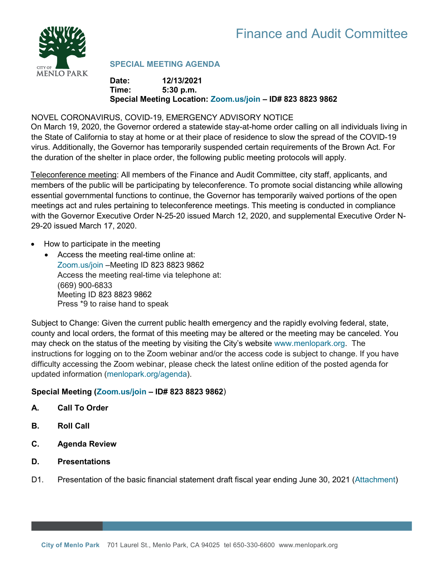

# **SPECIAL MEETING AGENDA**

### **Date: 12/13/2021 Time: 5:30 p.m. Special Meeting Location: [Zoom.us/join](https://zoom.us/join) – ID# 823 8823 9862**

## NOVEL CORONAVIRUS, COVID-19, EMERGENCY ADVISORY NOTICE

On March 19, 2020, the Governor ordered a statewide stay-at-home order calling on all individuals living in the State of California to stay at home or at their place of residence to slow the spread of the COVID-19 virus. Additionally, the Governor has temporarily suspended certain requirements of the Brown Act. For the duration of the shelter in place order, the following public meeting protocols will apply.

Teleconference meeting: All members of the Finance and Audit Committee, city staff, applicants, and members of the public will be participating by teleconference. To promote social distancing while allowing essential governmental functions to continue, the Governor has temporarily waived portions of the open meetings act and rules pertaining to teleconference meetings. This meeting is conducted in compliance with the Governor Executive Order N-25-20 issued March 12, 2020, and supplemental Executive Order N-29-20 issued March 17, 2020.

- How to participate in the meeting
	- Access the meeting real-time online at: [Zoom.us/join](https://zoom.us/join) –Meeting ID 823 8823 9862 Access the meeting real-time via telephone at: (669) 900-6833 Meeting ID 823 8823 9862 Press \*9 to raise hand to speak

Subject to Change: Given the current public health emergency and the rapidly evolving federal, state, county and local orders, the format of this meeting may be altered or the meeting may be canceled. You may check on the status of the meeting by visiting the City's website [www.menlopark.org.](http://www.menlopark.org/)The instructions for logging on to the Zoom webinar and/or the access code is subject to change. If you have difficulty accessing the Zoom webinar, please check the latest online edition of the posted agenda for updated information [\(menlopark.org/agenda\)](http://menlopark.org/agenda).

# **Special Meeting [\(Zoom.us/join](https://zoom.us/join) – ID# 823 8823 9862**)

- **A. Call To Order**
- **B. Roll Call**
- **C. Agenda Review**
- **D. Presentations**
- D1. Presentation of the basic financial statement draft fiscal year ending June 30, 2021 [\(Attachment\)](https://www.menlopark.org/DocumentCenter/View/30134/D1--ACFR-draft)